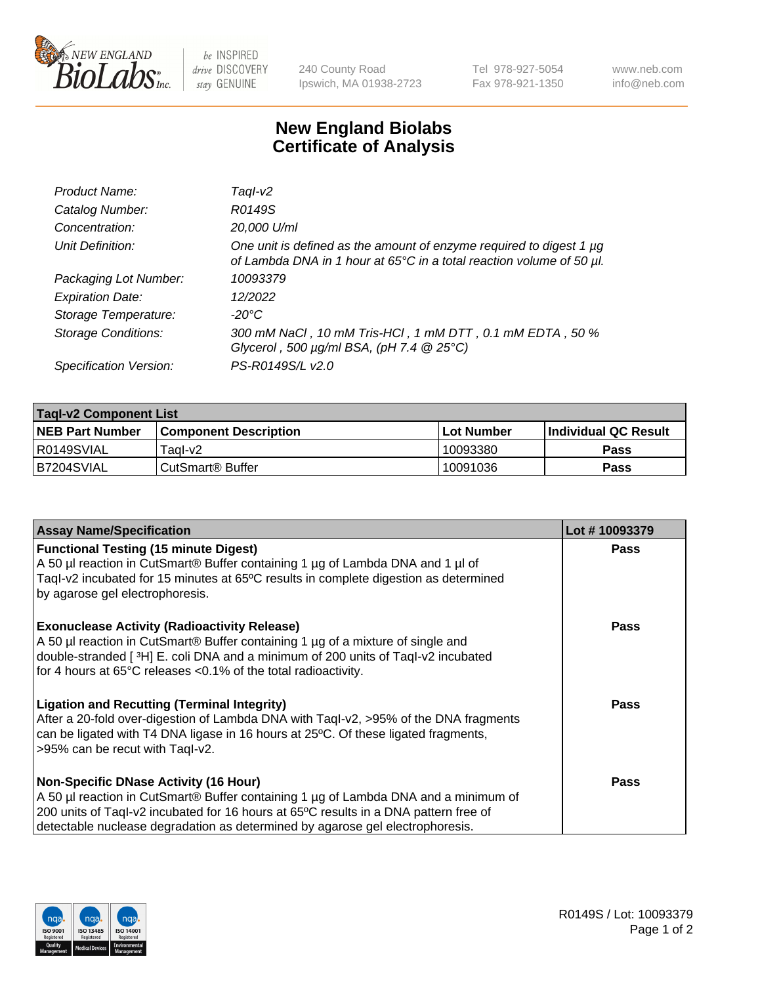

be INSPIRED drive DISCOVERY stay GENUINE

240 County Road Ipswich, MA 01938-2723 Tel 978-927-5054 Fax 978-921-1350 www.neb.com info@neb.com

## **New England Biolabs Certificate of Analysis**

| Product Name:              | Tagl-v2                                                                                                                                     |
|----------------------------|---------------------------------------------------------------------------------------------------------------------------------------------|
| Catalog Number:            | R0149S                                                                                                                                      |
| Concentration:             | 20,000 U/ml                                                                                                                                 |
| Unit Definition:           | One unit is defined as the amount of enzyme required to digest 1 µg<br>of Lambda DNA in 1 hour at 65°C in a total reaction volume of 50 µl. |
| Packaging Lot Number:      | 10093379                                                                                                                                    |
| <b>Expiration Date:</b>    | 12/2022                                                                                                                                     |
| Storage Temperature:       | $-20^{\circ}$ C                                                                                                                             |
| <b>Storage Conditions:</b> | 300 mM NaCl, 10 mM Tris-HCl, 1 mM DTT, 0.1 mM EDTA, 50 %<br>Glycerol, 500 $\mu$ g/ml BSA, (pH 7.4 $@25°C$ )                                 |
| Specification Version:     | PS-R0149S/L v2.0                                                                                                                            |

| <b>Tagl-v2 Component List</b> |                         |              |                             |  |  |
|-------------------------------|-------------------------|--------------|-----------------------------|--|--|
| <b>NEB Part Number</b>        | l Component Description | l Lot Number | <b>Individual QC Result</b> |  |  |
| R0149SVIAL                    | Tagl-v2                 | 10093380     | Pass                        |  |  |
| IB7204SVIAL                   | l CutSmart® Buffer_     | 10091036     | Pass                        |  |  |

| <b>Assay Name/Specification</b>                                                                                                                                                                                                                                                                              | Lot #10093379 |
|--------------------------------------------------------------------------------------------------------------------------------------------------------------------------------------------------------------------------------------------------------------------------------------------------------------|---------------|
| <b>Functional Testing (15 minute Digest)</b><br>A 50 µl reaction in CutSmart® Buffer containing 1 µg of Lambda DNA and 1 µl of<br>Tagl-v2 incubated for 15 minutes at 65°C results in complete digestion as determined<br>by agarose gel electrophoresis.                                                    | <b>Pass</b>   |
| <b>Exonuclease Activity (Radioactivity Release)</b><br>A 50 µl reaction in CutSmart® Buffer containing 1 µg of a mixture of single and<br>double-stranded [3H] E. coli DNA and a minimum of 200 units of Taql-v2 incubated<br>for 4 hours at 65°C releases <0.1% of the total radioactivity.                 | <b>Pass</b>   |
| <b>Ligation and Recutting (Terminal Integrity)</b><br>After a 20-fold over-digestion of Lambda DNA with Taql-v2, >95% of the DNA fragments<br>can be ligated with T4 DNA ligase in 16 hours at 25°C. Of these ligated fragments,<br>>95% can be recut with Taql-v2.                                          | <b>Pass</b>   |
| <b>Non-Specific DNase Activity (16 Hour)</b><br>A 50 µl reaction in CutSmart® Buffer containing 1 µg of Lambda DNA and a minimum of<br>200 units of Taql-v2 incubated for 16 hours at 65°C results in a DNA pattern free of<br>detectable nuclease degradation as determined by agarose gel electrophoresis. | Pass          |